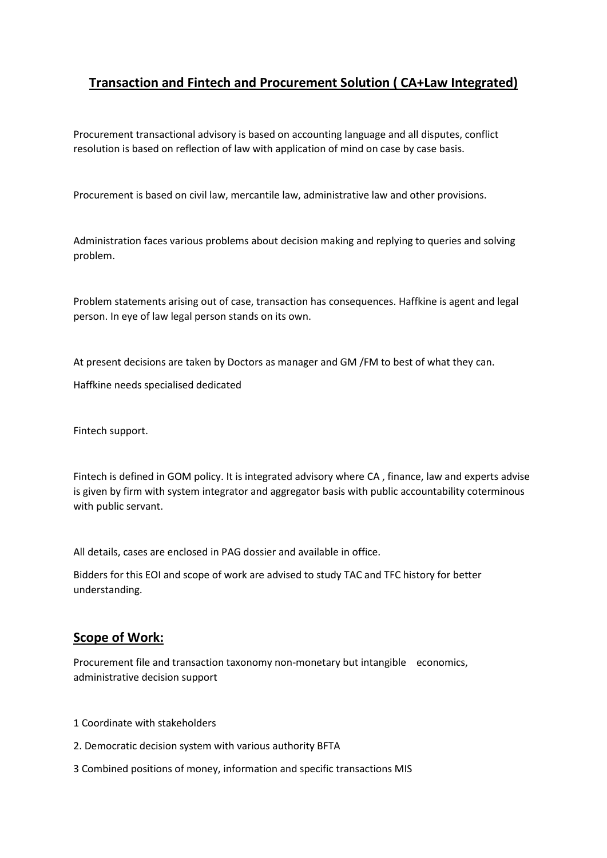# **Transaction and Fintech and Procurement Solution ( CA+Law Integrated)**

Procurement transactional advisory is based on accounting language and all disputes, conflict resolution is based on reflection of law with application of mind on case by case basis.

Procurement is based on civil law, mercantile law, administrative law and other provisions.

Administration faces various problems about decision making and replying to queries and solving problem.

Problem statements arising out of case, transaction has consequences. Haffkine is agent and legal person. In eye of law legal person stands on its own.

At present decisions are taken by Doctors as manager and GM /FM to best of what they can.

Haffkine needs specialised dedicated

Fintech support.

Fintech is defined in GOM policy. It is integrated advisory where CA , finance, law and experts advise is given by firm with system integrator and aggregator basis with public accountability coterminous with public servant.

All details, cases are enclosed in PAG dossier and available in office.

Bidders for this EOI and scope of work are advised to study TAC and TFC history for better understanding.

#### **Scope of Work:**

Procurement file and transaction taxonomy non-monetary but intangible economics, administrative decision support

- 1 Coordinate with stakeholders
- 2. Democratic decision system with various authority BFTA
- 3 Combined positions of money, information and specific transactions MIS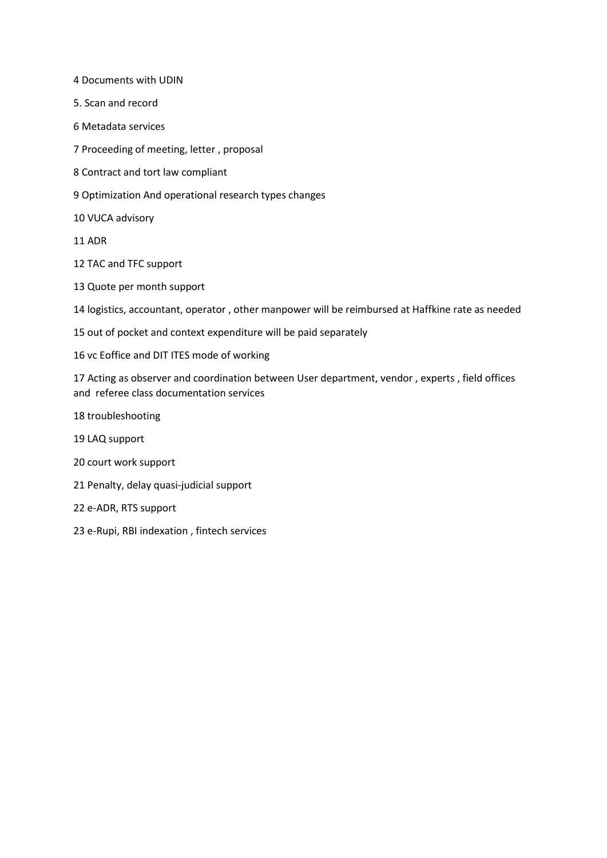4 Documents with UDIN

- 5. Scan and record
- 6 Metadata services
- 7 Proceeding of meeting, letter , proposal
- 8 Contract and tort law compliant
- 9 Optimization And operational research types changes
- 10 VUCA advisory
- 11 ADR
- 12 TAC and TFC support
- 13 Quote per month support

14 logistics, accountant, operator , other manpower will be reimbursed at Haffkine rate as needed

- 15 out of pocket and context expenditure will be paid separately
- 16 vc Eoffice and DIT ITES mode of working

17 Acting as observer and coordination between User department, vendor , experts , field offices and referee class documentation services

- 18 troubleshooting
- 19 LAQ support
- 20 court work support
- 21 Penalty, delay quasi-judicial support
- 22 e-ADR, RTS support
- 23 e-Rupi, RBI indexation , fintech services